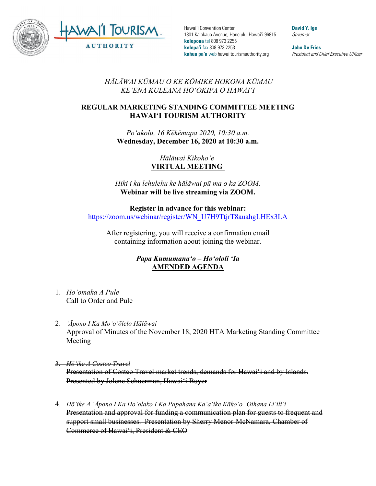

Hawai'i Convention Center 1801 Kalākaua Avenue, Honolulu, Hawai'i 96815 **kelepona** tel 808 973 2255 **kelepa'i** fax 808 973 2253 **kahua pa'a** web hawaiitourismauthority.org

**David Y. Ige** Governor

**John De Fries** President and Chief Executive Officer

*HĀLĀWAI KŪMAU O KE KŌMIKE HOKONA KŪMAU KEʻENA KULEANA HOʻOKIPA O HAWAIʻI* 

## **REGULAR MARKETING STANDING COMMITTEE MEETING HAWAI'I TOURISM AUTHORITY**

*Poʻakolu, 16 Kēkēmapa 2020, 10:30 a.m.* **Wednesday, December 16, 2020 at 10:30 a.m.**

> *Hālāwai Kikohoʻe* **VIRTUAL MEETING**

*Hiki i ka lehulehu ke hālāwai pū ma o ka ZOOM.* **Webinar will be live streaming via ZOOM.**

## **Register in advance for this webinar:**

[https://zoom.us/webinar/register/WN\\_U7H9TtjrT8auahgLHEx3LA](https://zoom.us/webinar/register/WN_U7H9TtjrT8auahgLHEx3LA)

After registering, you will receive a confirmation email containing information about joining the webinar.

## *Papa Kumumanaʻo – Hoʻololi ʻIa* **AMENDED AGENDA**

- 1. *Hoʻomaka A Pule* Call to Order and Pule
- 2. *ʻĀpono I Ka Moʻoʻōlelo Hālāwai* Approval of Minutes of the November 18, 2020 HTA Marketing Standing Committee Meeting
- 3. *Hōʻike A Costco Travel* Presentation of Costco Travel market trends, demands for Hawai'i and by Islands. Presented by Jolene Schuerman, Hawai'i Buyer
- 4. *Hōʻike A ʻĀpono I Ka Hoʻolako I Ka Papahana Kaʻaʻike Kākoʻo ʻOihana Liʻiliʻi* Presentation and approval for funding a communication plan for guests to frequent and support small businesses. Presentation by Sherry Menor-McNamara, Chamber of Commerce of Hawai'i, President & CEO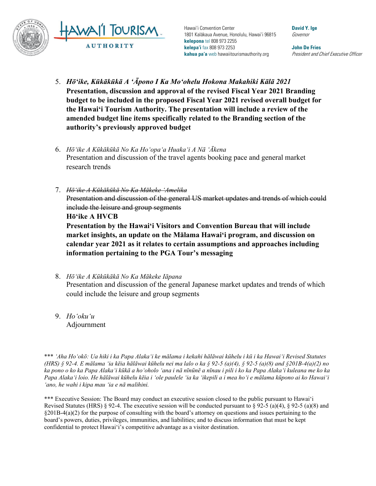

Hawai'i Convention Center 1801 Kalākaua Avenue, Honolulu, Hawai'i 96815 **kelepona** tel 808 973 2255 **kelepa'i** fax 808 973 2253 **kahua pa'a** web hawaiitourismauthority.org

**David Y. Ige** Governor

**John De Fries** President and Chief Executive Officer

- 5. *Hōʻike, Kūkākūkā A ʻĀpono I Ka Moʻohelu Hokona Makahiki Kālā 2021* **Presentation, discussion and approval of the revised Fiscal Year 2021 Branding budget to be included in the proposed Fiscal Year 2021 revised overall budget for the Hawai'i Tourism Authority. The presentation will include a review of the amended budget line items specifically related to the Branding section of the authority's previously approved budget**
- 6. *Hōʻike A Kūkākūkā No Ka Hoʻopaʻa Huakaʻi A Nā ʻĀkena* Presentation and discussion of the travel agents booking pace and general market research trends
- 7. *Hōʻike A Kūkākūkā No Ka Mākeke ʻAmelika* Presentation and discussion of the general US market updates and trends of which could include the leisure and group segments **Hōʻike A HVCB Presentation by the Hawai'i Visitors and Convention Bureau that will include market insights, an update on the Mālama Hawai'i program, and discussion on calendar year 2021 as it relates to certain assumptions and approaches including**

**information pertaining to the PGA Tour's messaging**

- 8. *Hōʻike A Kūkūkākā No Ka Mākeke Iāpana* Presentation and discussion of the general Japanese market updates and trends of which could include the leisure and group segments
- 9. *Hoʻokuʻu*  Adjournment

\*\*\* *ʻAha Hoʻokō: Ua hiki i ka Papa Alakaʻi ke mālama i kekahi hālāwai kūhelu i kū i ka Hawaiʻi Revised Statutes (HRS) § 92-4. E mālama ʻia kēia hālāwai kūhelu nei ma lalo o ka § 92-5 (a)(4), § 92-5 (a)(8) and §201B-4(a)(2) no ka pono o ko ka Papa Alakaʻi kūkā a hoʻoholo ʻana i nā nīnūnē a nīnau i pili i ko ka Papa Alakaʻi kuleana me ko ka Papa Alakaʻi loio. He hālāwai kūhelu kēia i ʻole paulele ʻia ka ʻikepili a i mea hoʻi e mālama kūpono ai ko Hawaiʻi ʻano, he wahi i kipa mau ʻia e nā malihini.* 

\*\*\* Executive Session: The Board may conduct an executive session closed to the public pursuant to Hawai'i Revised Statutes (HRS) § 92-4. The executive session will be conducted pursuant to § 92-5 (a)(4), § 92-5 (a)(8) and §201B-4(a)(2) for the purpose of consulting with the board's attorney on questions and issues pertaining to the board's powers, duties, privileges, immunities, and liabilities; and to discuss information that must be kept confidential to protect Hawai'i's competitive advantage as a visitor destination.